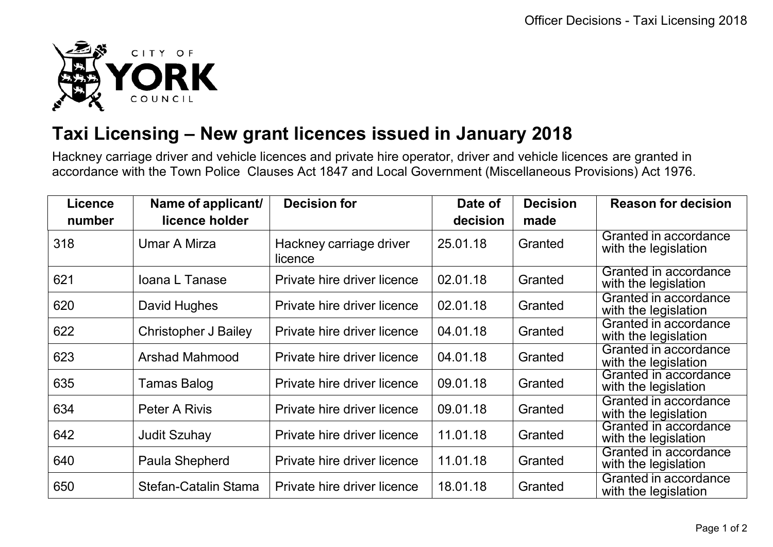

## **Taxi Licensing – New grant licences issued in January 2018**

Hackney carriage driver and vehicle licences and private hire operator, driver and vehicle licences are granted in accordance with the Town Police Clauses Act 1847 and Local Government (Miscellaneous Provisions) Act 1976.

| <b>Licence</b> | Name of applicant/          | <b>Decision for</b>                | Date of  | <b>Decision</b> | <b>Reason for decision</b>                    |
|----------------|-----------------------------|------------------------------------|----------|-----------------|-----------------------------------------------|
| number         | licence holder              |                                    | decision | made            |                                               |
| 318            | <b>Umar A Mirza</b>         | Hackney carriage driver<br>licence | 25.01.18 | Granted         | Granted in accordance<br>with the legislation |
| 621            | Ioana L Tanase              | Private hire driver licence        | 02.01.18 | Granted         | Granted in accordance<br>with the legislation |
| 620            | David Hughes                | Private hire driver licence        | 02.01.18 | Granted         | Granted in accordance<br>with the legislation |
| 622            | <b>Christopher J Bailey</b> | Private hire driver licence        | 04.01.18 | Granted         | Granted in accordance<br>with the legislation |
| 623            | <b>Arshad Mahmood</b>       | Private hire driver licence        | 04.01.18 | Granted         | Granted in accordance<br>with the legislation |
| 635            | Tamas Balog                 | Private hire driver licence        | 09.01.18 | Granted         | Granted in accordance<br>with the legislation |
| 634            | Peter A Rivis               | Private hire driver licence        | 09.01.18 | Granted         | Granted in accordance<br>with the legislation |
| 642            | <b>Judit Szuhay</b>         | Private hire driver licence        | 11.01.18 | Granted         | Granted in accordance<br>with the legislation |
| 640            | Paula Shepherd              | Private hire driver licence        | 11.01.18 | Granted         | Granted in accordance<br>with the legislation |
| 650            | Stefan-Catalin Stama        | Private hire driver licence        | 18.01.18 | Granted         | Granted in accordance<br>with the legislation |